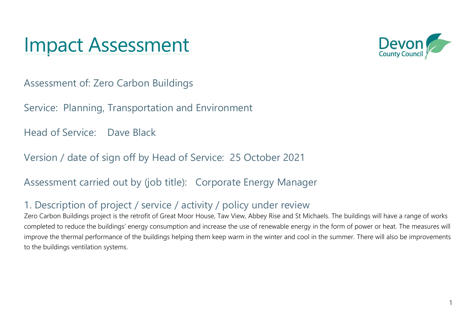# Impact Assessment



Assessment of: Zero Carbon Buildings

Service: Planning, Transportation and Environment

Head of Service: Dave Black

Version / date of sign off by Head of Service: 25 October 2021

Assessment carried out by (job title): Corporate Energy Manager

## 1. Description of project / service / activity / policy under review

Zero Carbon Buildings project is the retrofit of Great Moor House, Taw View, Abbey Rise and St Michaels. The buildings will have a range of works completed to reduce the buildings' energy consumption and increase the use of renewable energy in the form of power or heat. The measures will improve the thermal performance of the buildings helping them keep warm in the winter and cool in the summer. There will also be improvements to the buildings ventilation systems.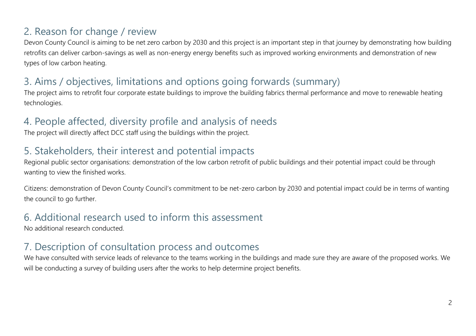## 2. Reason for change / review

Devon County Council is aiming to be net zero carbon by 2030 and this project is an important step in that journey by demonstrating how building retrofits can deliver carbon-savings as well as non-energy energy benefits such as improved working environments and demonstration of new types of low carbon heating.

### 3. Aims / objectives, limitations and options going forwards (summary)

The project aims to retrofit four corporate estate buildings to improve the building fabrics thermal performance and move to renewable heating technologies.

#### 4. People affected, diversity profile and analysis of needs

The project will directly affect DCC staff using the buildings within the project.

### 5. Stakeholders, their interest and potential impacts

Regional public sector organisations: demonstration of the low carbon retrofit of public buildings and their potential impact could be through wanting to view the finished works.

Citizens: demonstration of Devon County Council's commitment to be net-zero carbon by 2030 and potential impact could be in terms of wanting the council to go further.

#### 6. Additional research used to inform this assessment

No additional research conducted.

## 7. Description of consultation process and outcomes

We have consulted with service leads of relevance to the teams working in the buildings and made sure they are aware of the proposed works. We will be conducting a survey of building users after the works to help determine project benefits.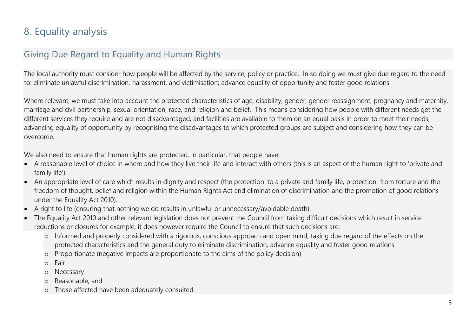## 8. Equality analysis

#### Giving Due Regard to Equality and Human Rights

The local authority must consider how people will be affected by the service, policy or practice. In so doing we must give due regard to the need to: eliminate unlawful discrimination, harassment, and victimisation; advance equality of opportunity and foster good relations.

Where relevant, we must take into account the protected characteristics of age, disability, gender, gender reassignment, pregnancy and maternity, marriage and civil partnership, sexual orientation, race, and religion and belief. This means considering how people with different needs get the different services they require and are not disadvantaged, and facilities are available to them on an equal basis in order to meet their needs; advancing equality of opportunity by recognising the disadvantages to which protected groups are subject and considering how they can be overcome.

We also need to ensure that human rights are protected. In particular, that people have:

- A reasonable level of choice in where and how they live their life and interact with others (this is an aspect of the human right to 'private and family life').
- An appropriate level of care which results in dignity and respect (the protection to a private and family life, protection from torture and the freedom of thought, belief and religion within the Human Rights Act and elimination of discrimination and the promotion of good relations under the Equality Act 2010).
- A right to life (ensuring that nothing we do results in unlawful or unnecessary/avoidable death).
- The Equality Act 2010 and other relevant legislation does not prevent the Council from taking difficult decisions which result in service reductions or closures for example, it does however require the Council to ensure that such decisions are:
	- o Informed and properly considered with a rigorous, conscious approach and open mind, taking due regard of the effects on the protected characteristics and the general duty to eliminate discrimination, advance equality and foster good relations.
	- o Proportionate (negative impacts are proportionate to the aims of the policy decision)
	- o Fair
	- o Necessary
	- o Reasonable, and
	- o Those affected have been adequately consulted.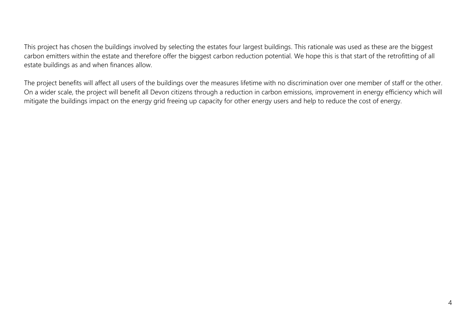This project has chosen the buildings involved by selecting the estates four largest buildings. This rationale was used as these are the biggest carbon emitters within the estate and therefore offer the biggest carbon reduction potential. We hope this is that start of the retrofitting of all estate buildings as and when finances allow.

The project benefits will affect all users of the buildings over the measures lifetime with no discrimination over one member of staff or the other. On a wider scale, the project will benefit all Devon citizens through a reduction in carbon emissions, improvement in energy efficiency which will mitigate the buildings impact on the energy grid freeing up capacity for other energy users and help to reduce the cost of energy.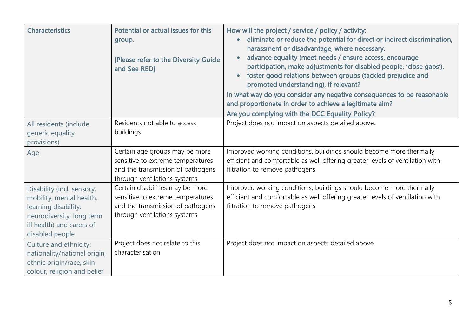| <b>Characteristics</b>                                                                                                                                      | Potential or actual issues for this<br>group.<br>[Please refer to the Diversity Guide<br>and See RED]                                      | How will the project / service / policy / activity:<br>eliminate or reduce the potential for direct or indirect discrimination,<br>harassment or disadvantage, where necessary.<br>advance equality (meet needs / ensure access, encourage<br>$\bullet$<br>participation, make adjustments for disabled people, 'close gaps').<br>foster good relations between groups (tackled prejudice and<br>$\bullet$<br>promoted understanding), if relevant?<br>In what way do you consider any negative consequences to be reasonable<br>and proportionate in order to achieve a legitimate aim?<br>Are you complying with the DCC Equality Policy? |
|-------------------------------------------------------------------------------------------------------------------------------------------------------------|--------------------------------------------------------------------------------------------------------------------------------------------|---------------------------------------------------------------------------------------------------------------------------------------------------------------------------------------------------------------------------------------------------------------------------------------------------------------------------------------------------------------------------------------------------------------------------------------------------------------------------------------------------------------------------------------------------------------------------------------------------------------------------------------------|
| All residents (include<br>generic equality<br>provisions)                                                                                                   | Residents not able to access<br>buildings                                                                                                  | Project does not impact on aspects detailed above.                                                                                                                                                                                                                                                                                                                                                                                                                                                                                                                                                                                          |
| Age                                                                                                                                                         | Certain age groups may be more<br>sensitive to extreme temperatures<br>and the transmission of pathogens<br>through ventilations systems   | Improved working conditions, buildings should become more thermally<br>efficient and comfortable as well offering greater levels of ventilation with<br>filtration to remove pathogens                                                                                                                                                                                                                                                                                                                                                                                                                                                      |
| Disability (incl. sensory,<br>mobility, mental health,<br>learning disability,<br>neurodiversity, long term<br>ill health) and carers of<br>disabled people | Certain disabilities may be more<br>sensitive to extreme temperatures<br>and the transmission of pathogens<br>through ventilations systems | Improved working conditions, buildings should become more thermally<br>efficient and comfortable as well offering greater levels of ventilation with<br>filtration to remove pathogens                                                                                                                                                                                                                                                                                                                                                                                                                                                      |
| Culture and ethnicity:<br>nationality/national origin,<br>ethnic origin/race, skin<br>colour, religion and belief                                           | Project does not relate to this<br>characterisation                                                                                        | Project does not impact on aspects detailed above.                                                                                                                                                                                                                                                                                                                                                                                                                                                                                                                                                                                          |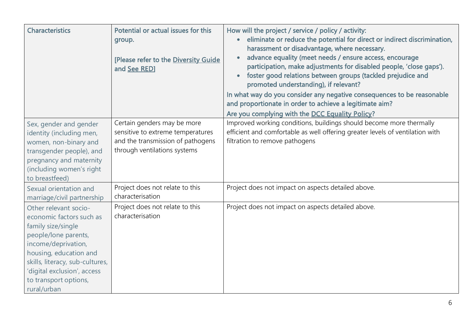| <b>Characteristics</b>                                                                                                                                                                                                                                     | Potential or actual issues for this<br>group.<br>[Please refer to the Diversity Guide<br>and See RED]                                 | How will the project / service / policy / activity:<br>eliminate or reduce the potential for direct or indirect discrimination,<br>harassment or disadvantage, where necessary.<br>advance equality (meet needs / ensure access, encourage<br>$\bullet$<br>participation, make adjustments for disabled people, 'close gaps').<br>foster good relations between groups (tackled prejudice and<br>promoted understanding), if relevant?<br>In what way do you consider any negative consequences to be reasonable<br>and proportionate in order to achieve a legitimate aim?<br>Are you complying with the DCC Equality Policy? |
|------------------------------------------------------------------------------------------------------------------------------------------------------------------------------------------------------------------------------------------------------------|---------------------------------------------------------------------------------------------------------------------------------------|--------------------------------------------------------------------------------------------------------------------------------------------------------------------------------------------------------------------------------------------------------------------------------------------------------------------------------------------------------------------------------------------------------------------------------------------------------------------------------------------------------------------------------------------------------------------------------------------------------------------------------|
| Sex, gender and gender<br>identity (including men,<br>women, non-binary and<br>transgender people), and<br>pregnancy and maternity<br>(including women's right<br>to breastfeed)                                                                           | Certain genders may be more<br>sensitive to extreme temperatures<br>and the transmission of pathogens<br>through ventilations systems | Improved working conditions, buildings should become more thermally<br>efficient and comfortable as well offering greater levels of ventilation with<br>filtration to remove pathogens                                                                                                                                                                                                                                                                                                                                                                                                                                         |
| Sexual orientation and<br>marriage/civil partnership                                                                                                                                                                                                       | Project does not relate to this<br>characterisation                                                                                   | Project does not impact on aspects detailed above.                                                                                                                                                                                                                                                                                                                                                                                                                                                                                                                                                                             |
| Other relevant socio-<br>economic factors such as<br>family size/single<br>people/lone parents,<br>income/deprivation,<br>housing, education and<br>skills, literacy, sub-cultures,<br>'digital exclusion', access<br>to transport options,<br>rural/urban | Project does not relate to this<br>characterisation                                                                                   | Project does not impact on aspects detailed above.                                                                                                                                                                                                                                                                                                                                                                                                                                                                                                                                                                             |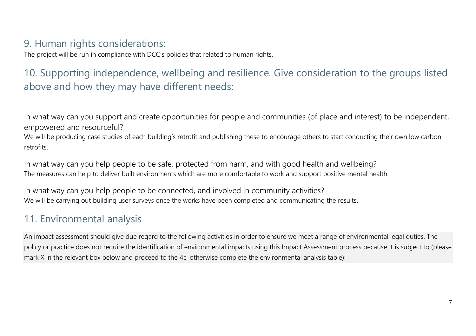## 9. Human rights considerations:

The project will be run in compliance with DCC's policies that related to human rights.

## 10. Supporting independence, wellbeing and resilience. Give consideration to the groups listed above and how they may have different needs:

In what way can you support and create opportunities for people and communities (of place and interest) to be independent, empowered and resourceful? We will be producing case studies of each building's retrofit and publishing these to encourage others to start conducting their own low carbon retrofits.

In what way can you help people to be safe, protected from harm, and with good health and wellbeing? The measures can help to deliver built environments which are more comfortable to work and support positive mental health.

In what way can you help people to be connected, and involved in community activities? We will be carrying out building user surveys once the works have been completed and communicating the results.

## 11. Environmental analysis

An impact assessment should give due regard to the following activities in order to ensure we meet a range of environmental legal duties. The policy or practice does not require the identification of environmental impacts using this Impact Assessment process because it is subject to (please mark X in the relevant box below and proceed to the 4c, otherwise complete the environmental analysis table):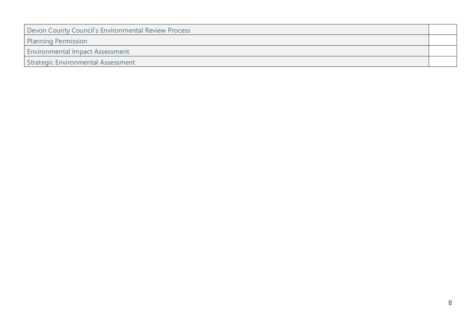| Devon County Council's Environmental Review Process |  |
|-----------------------------------------------------|--|
| <b>Planning Permission</b>                          |  |
| <b>Environmental Impact Assessment</b>              |  |
| Strategic Environmental Assessment                  |  |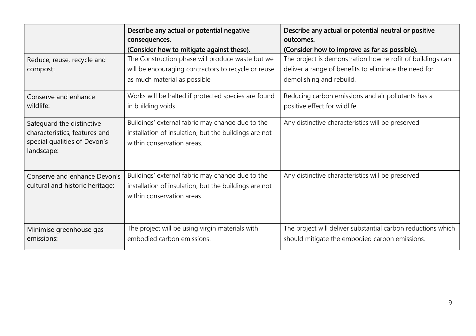|                                            | Describe any actual or potential negative<br>consequences. | Describe any actual or potential neutral or positive<br>outcomes. |
|--------------------------------------------|------------------------------------------------------------|-------------------------------------------------------------------|
|                                            | (Consider how to mitigate against these).                  | (Consider how to improve as far as possible).                     |
| Reduce, reuse, recycle and                 | The Construction phase will produce waste but we           | The project is demonstration how retrofit of buildings can        |
| compost:                                   | will be encouraging contractors to recycle or reuse        | deliver a range of benefits to eliminate the need for             |
|                                            | as much material as possible                               | demolishing and rebuild.                                          |
| Conserve and enhance                       | Works will be halted if protected species are found        | Reducing carbon emissions and air pollutants has a                |
| wildlife:                                  | in building voids                                          | positive effect for wildlife.                                     |
| Safeguard the distinctive                  | Buildings' external fabric may change due to the           | Any distinctive characteristics will be preserved                 |
| characteristics, features and              | installation of insulation, but the buildings are not      |                                                                   |
| special qualities of Devon's<br>landscape: | within conservation areas.                                 |                                                                   |
| Conserve and enhance Devon's               | Buildings' external fabric may change due to the           | Any distinctive characteristics will be preserved                 |
| cultural and historic heritage:            | installation of insulation, but the buildings are not      |                                                                   |
|                                            | within conservation areas                                  |                                                                   |
|                                            |                                                            |                                                                   |
| Minimise greenhouse gas                    | The project will be using virgin materials with            | The project will deliver substantial carbon reductions which      |
| emissions:                                 | embodied carbon emissions.                                 | should mitigate the embodied carbon emissions.                    |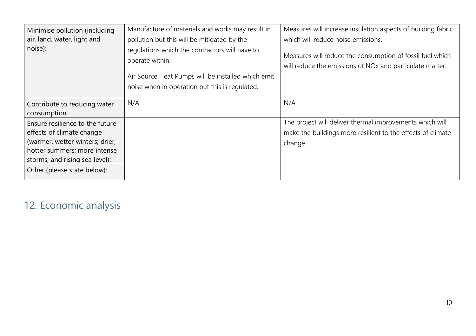| Minimise pollution (including<br>air, land, water, light and<br>noise):                                                                                           | Manufacture of materials and works may result in<br>pollution but this will be mitigated by the<br>regulations which the contractors will have to<br>operate within.<br>Air Source Heat Pumps will be installed which emit<br>noise when in operation but this is regulated. | Measures will increase insulation aspects of building fabric<br>which will reduce noise emissions.<br>Measures will reduce the consumption of fossil fuel which<br>will reduce the emissions of NO <sub>x</sub> and particulate matter. |
|-------------------------------------------------------------------------------------------------------------------------------------------------------------------|------------------------------------------------------------------------------------------------------------------------------------------------------------------------------------------------------------------------------------------------------------------------------|-----------------------------------------------------------------------------------------------------------------------------------------------------------------------------------------------------------------------------------------|
| Contribute to reducing water<br>consumption:                                                                                                                      | N/A                                                                                                                                                                                                                                                                          | N/A                                                                                                                                                                                                                                     |
| Ensure resilience to the future<br>effects of climate change<br>(warmer, wetter winters; drier,<br>hotter summers; more intense<br>storms; and rising sea level): |                                                                                                                                                                                                                                                                              | The project will deliver thermal improvements which will<br>make the buildings more resilient to the effects of climate<br>change.                                                                                                      |
| Other (please state below):                                                                                                                                       |                                                                                                                                                                                                                                                                              |                                                                                                                                                                                                                                         |

## 12. Economic analysis